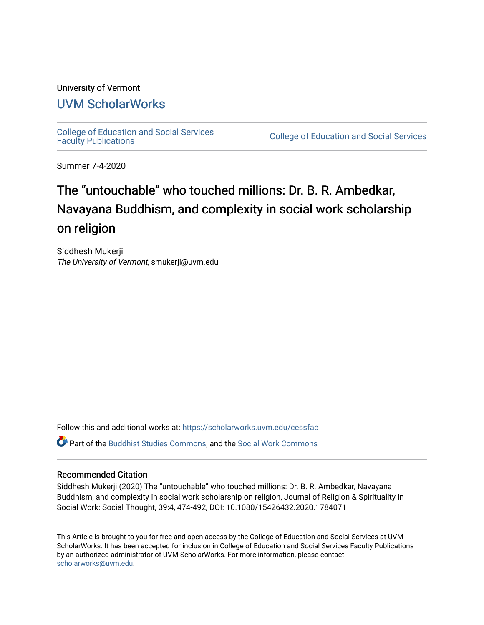### University of Vermont [UVM ScholarWorks](https://scholarworks.uvm.edu/)

[College of Education and Social Services](https://scholarworks.uvm.edu/cessfac) 

College of Education and Social Services

Summer 7-4-2020

## The "untouchable" who touched millions: Dr. B. R. Ambedkar, Navayana Buddhism, and complexity in social work scholarship on religion

Siddhesh Mukerji The University of Vermont, smukerji@uvm.edu

Follow this and additional works at: [https://scholarworks.uvm.edu/cessfac](https://scholarworks.uvm.edu/cessfac?utm_source=scholarworks.uvm.edu%2Fcessfac%2F30&utm_medium=PDF&utm_campaign=PDFCoverPages) 

Part of the [Buddhist Studies Commons,](http://network.bepress.com/hgg/discipline/1344?utm_source=scholarworks.uvm.edu%2Fcessfac%2F30&utm_medium=PDF&utm_campaign=PDFCoverPages) and the [Social Work Commons](http://network.bepress.com/hgg/discipline/713?utm_source=scholarworks.uvm.edu%2Fcessfac%2F30&utm_medium=PDF&utm_campaign=PDFCoverPages)

#### Recommended Citation

Siddhesh Mukerji (2020) The "untouchable" who touched millions: Dr. B. R. Ambedkar, Navayana Buddhism, and complexity in social work scholarship on religion, Journal of Religion & Spirituality in Social Work: Social Thought, 39:4, 474-492, DOI: 10.1080/15426432.2020.1784071

This Article is brought to you for free and open access by the College of Education and Social Services at UVM ScholarWorks. It has been accepted for inclusion in College of Education and Social Services Faculty Publications by an authorized administrator of UVM ScholarWorks. For more information, please contact [scholarworks@uvm.edu](mailto:scholarworks@uvm.edu).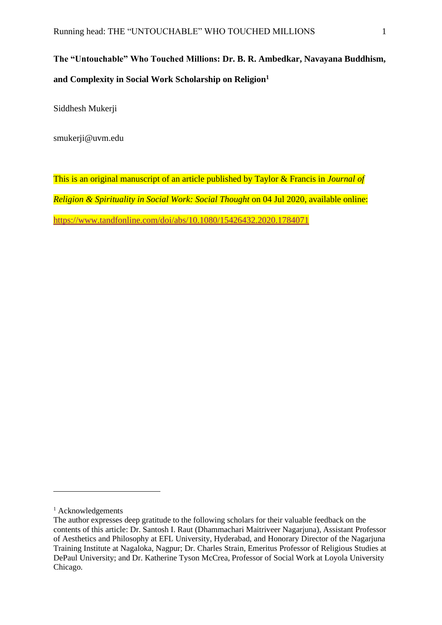## **The "Untouchable" Who Touched Millions: Dr. B. R. Ambedkar, Navayana Buddhism, and Complexity in Social Work Scholarship on Religion<sup>1</sup>**

Siddhesh Mukerji

smukerji@uvm.edu

This is an original manuscript of an article published by Taylor & Francis in *Journal of Religion & Spirituality in Social Work: Social Thought* on 04 Jul 2020, available online: <https://www.tandfonline.com/doi/abs/10.1080/15426432.2020.1784071>

<sup>&</sup>lt;sup>1</sup> Acknowledgements

The author expresses deep gratitude to the following scholars for their valuable feedback on the contents of this article: Dr. Santosh I. Raut (Dhammachari Maitriveer Nagarjuna), Assistant Professor of Aesthetics and Philosophy at EFL University, Hyderabad, and Honorary Director of the Nagarjuna Training Institute at Nagaloka, Nagpur; Dr. Charles Strain, Emeritus Professor of Religious Studies at DePaul University; and Dr. Katherine Tyson McCrea, Professor of Social Work at Loyola University Chicago.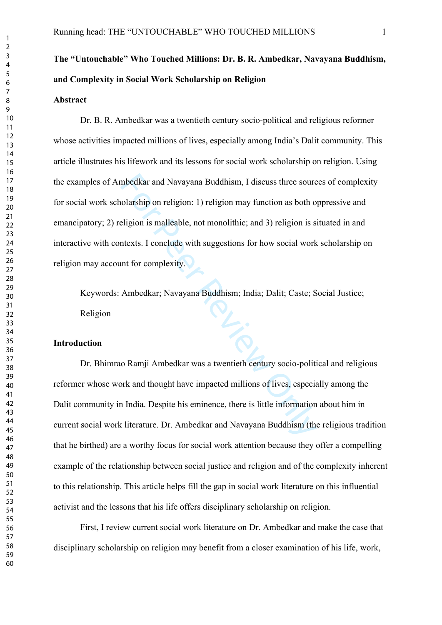# **The "Untouchable" Who Touched Millions: Dr. B. R. Ambedkar, Navayana Buddhism, and Complexity in Social Work Scholarship on Religion**

#### **Abstract**

mbedkar and Navayana Buddhism, I discuss three source wolarship on religion: 1) religion may function as both of eligion is malleable, not monolithic; and 3) religion is statexts. I conclude with suggestions for how social Dr. B. R. Ambedkar was a twentieth century socio-political and religious reformer whose activities impacted millions of lives, especially among India's Dalit community. This article illustrates his lifework and its lessons for social work scholarship on religion. Using the examples of Ambedkar and Navayana Buddhism, I discuss three sources of complexity for social work scholarship on religion: 1) religion may function as both oppressive and emancipatory; 2) religion is malleable, not monolithic; and 3) religion is situated in and interactive with contexts. I conclude with suggestions for how social work scholarship on religion may account for complexity.

Keywords: Ambedkar; Navayana Buddhism; India; Dalit; Caste; Social Justice; Religion

#### **Introduction**

Dr. Bhimrao Ramji Ambedkar was a twentieth century socio-political and religious reformer whose work and thought have impacted millions of lives, especially among the Dalit community in India. Despite his eminence, there is little information about him in current social work literature. Dr. Ambedkar and Navayana Buddhism (the religious tradition that he birthed) are a worthy focus for social work attention because they offer a compelling example of the relationship between social justice and religion and of the complexity inherent to this relationship. This article helps fill the gap in social work literature on this influential activist and the lessons that his life offers disciplinary scholarship on religion.

First, I review current social work literature on Dr. Ambedkar and make the case that disciplinary scholarship on religion may benefit from a closer examination of his life, work,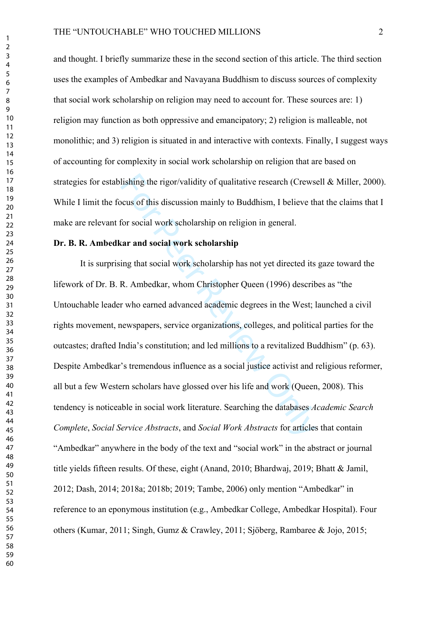and thought. I briefly summarize these in the second section of this article. The third section uses the examples of Ambedkar and Navayana Buddhism to discuss sources of complexity that social work scholarship on religion may need to account for. These sources are: 1) religion may function as both oppressive and emancipatory; 2) religion is malleable, not monolithic; and 3) religion is situated in and interactive with contexts. Finally, I suggest ways of accounting for complexity in social work scholarship on religion that are based on strategies for establishing the rigor/validity of qualitative research (Crewsell & Miller, 2000). While I limit the focus of this discussion mainly to Buddhism, I believe that the claims that I make are relevant for social work scholarship on religion in general.

#### **Dr. B. R. Ambedkar and social work scholarship**

lishing the rigor/validity of qualitative research (Crews<br>ccus of this discussion mainly to Buddhism, I believe th<br>for social work scholarship on religion in general.<br>**car and social work scholarship**<br>ing that social work It is surprising that social work scholarship has not yet directed its gaze toward the lifework of Dr. B. R. Ambedkar, whom Christopher Queen (1996) describes as "the Untouchable leader who earned advanced academic degrees in the West; launched a civil rights movement, newspapers, service organizations, colleges, and political parties for the outcastes; drafted India's constitution; and led millions to a revitalized Buddhism" (p. 63). Despite Ambedkar's tremendous influence as a social justice activist and religious reformer, all but a few Western scholars have glossed over his life and work (Queen, 2008). This tendency is noticeable in social work literature. Searching the databases *Academic Search Complete*, *Social Service Abstracts*, and *Social Work Abstracts* for articles that contain "Ambedkar" anywhere in the body of the text and "social work" in the abstract or journal title yields fifteen results. Of these, eight (Anand, 2010; Bhardwaj, 2019; Bhatt & Jamil, 2012; Dash, 2014; 2018a; 2018b; 2019; Tambe, 2006) only mention "Ambedkar" in reference to an eponymous institution (e.g., Ambedkar College, Ambedkar Hospital). Four others (Kumar, 2011; Singh, Gumz & Crawley, 2011; Sjöberg, Rambaree & Jojo, 2015;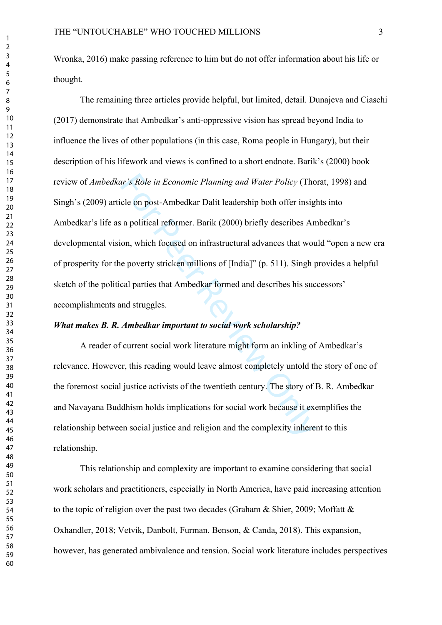Wronka, 2016) make passing reference to him but do not offer information about his life or thought.

and *Water Policy* (Tho<br>cle on post-Ambedkar Dalit leadership both offer insig<br>a political reformer. Barik (2000) briefly describes An<br>on, which focused on infrastructural advances that wou<br>e poverty stricken millions of [ The remaining three articles provide helpful, but limited, detail. Dunajeva and Ciaschi (2017) demonstrate that Ambedkar's anti-oppressive vision has spread beyond India to influence the lives of other populations (in this case, Roma people in Hungary), but their description of his lifework and views is confined to a short endnote. Barik's (2000) book review of *Ambedkar's Role in Economic Planning and Water Policy* (Thorat, 1998) and Singh's (2009) article on post-Ambedkar Dalit leadership both offer insights into Ambedkar's life as a political reformer. Barik (2000) briefly describes Ambedkar's developmental vision, which focused on infrastructural advances that would "open a new era of prosperity for the poverty stricken millions of [India]" (p. 511). Singh provides a helpful sketch of the political parties that Ambedkar formed and describes his successors' accomplishments and struggles.

#### *What makes B. R. Ambedkar important to social work scholarship?*

A reader of current social work literature might form an inkling of Ambedkar's relevance. However, this reading would leave almost completely untold the story of one of the foremost social justice activists of the twentieth century. The story of B. R. Ambedkar and Navayana Buddhism holds implications for social work because it exemplifies the relationship between social justice and religion and the complexity inherent to this relationship.

This relationship and complexity are important to examine considering that social work scholars and practitioners, especially in North America, have paid increasing attention to the topic of religion over the past two decades (Graham & Shier, 2009; Moffatt & Oxhandler, 2018; Vetvik, Danbolt, Furman, Benson, & Canda, 2018). This expansion, however, has generated ambivalence and tension. Social work literature includes perspectives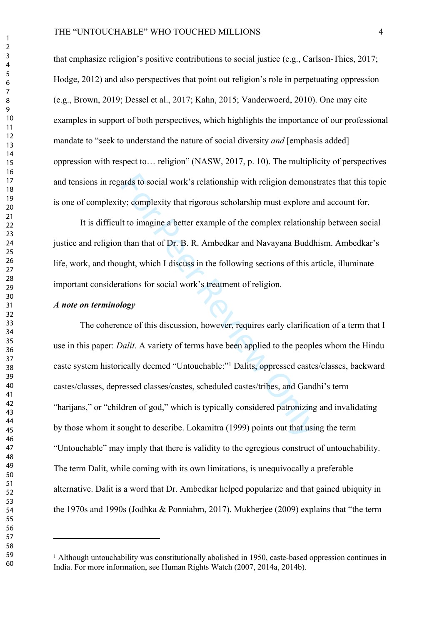that emphasize religion's positive contributions to social justice (e.g., Carlson-Thies, 2017; Hodge, 2012) and also perspectives that point out religion's role in perpetuating oppression (e.g., Brown, 2019; Dessel et al., 2017; Kahn, 2015; Vanderwoerd, 2010). One may cite examples in support of both perspectives, which highlights the importance of our professional mandate to "seek to understand the nature of social diversity *and* [emphasis added] oppression with respect to… religion" (NASW, 2017, p. 10). The multiplicity of perspectives and tensions in regards to social work's relationship with religion demonstrates that this topic is one of complexity; complexity that rigorous scholarship must explore and account for.

It is difficult to imagine a better example of the complex relationship between social justice and religion than that of Dr. B. R. Ambedkar and Navayana Buddhism. Ambedkar's life, work, and thought, which I discuss in the following sections of this article, illuminate important considerations for social work's treatment of religion.

#### *A note on terminology*

ards to social work's relationship with religion demons<br>ty; complexity that rigorous scholarship must explore a<br>lt to imagine a better example of the complex relationship<br>than that of Dr. B. R. Ambedkar and Navayana Buddh<br> The coherence of this discussion, however, requires early clarification of a term that I use in this paper: *Dalit*. A variety of terms have been applied to the peoples whom the Hindu caste system historically deemed "Untouchable:" 1 Dalits, oppressed castes/classes, backward castes/classes, depressed classes/castes, scheduled castes/tribes, and Gandhi's term "harijans," or "children of god," which is typically considered patronizing and invalidating by those whom it sought to describe. Lokamitra (1999) points out that using the term "Untouchable" may imply that there is validity to the egregious construct of untouchability. The term Dalit, while coming with its own limitations, is unequivocally a preferable alternative. Dalit is a word that Dr. Ambedkar helped popularize and that gained ubiquity in the 1970s and 1990s (Jodhka & Ponniahm, 2017). Mukherjee (2009) explains that "the term

<sup>&</sup>lt;sup>1</sup> Although untouchability was constitutionally abolished in 1950, caste-based oppression continues in India. For more information, see Human Rights Watch (2007, 2014a, 2014b).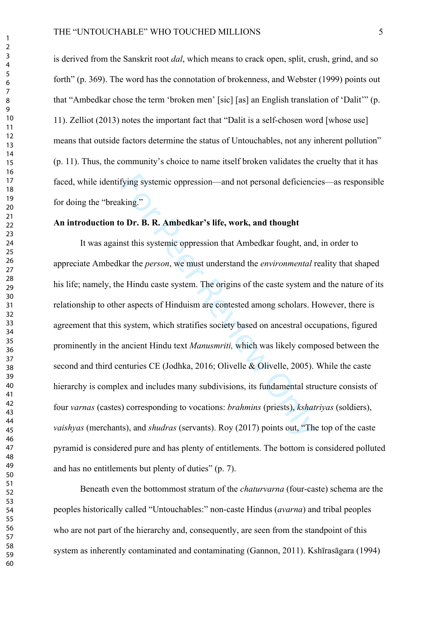is derived from the Sanskrit root *dal*, which means to crack open, split, crush, grind, and so forth" (p. 369). The word has the connotation of brokenness, and Webster (1999) points out that "Ambedkar chose the term 'broken men' [sic] [as] an English translation of 'Dalit'" (p. 11). Zelliot (2013) notes the important fact that "Dalit is a self-chosen word [whose use] means that outside factors determine the status of Untouchables, not any inherent pollution" (p. 11). Thus, the community's choice to name itself broken validates the cruelty that it has faced, while identifying systemic oppression—and not personal deficiencies—as responsible for doing the "breaking."

#### **An introduction to Dr. B. R. Ambedkar's life, work, and thought**

fying systemic oppression—and not personal deficienci<br>king."<br> **o Dr. B. R. Ambedkar's life, work, and thought**<br>
nst this systemic oppression that Ambedkar fought, and<br>
car the *person*, we must understand the *environmenta* It was against this systemic oppression that Ambedkar fought, and, in order to appreciate Ambedkar the *person*, we must understand the *environmental* reality that shaped his life; namely, the Hindu caste system. The origins of the caste system and the nature of its relationship to other aspects of Hinduism are contested among scholars. However, there is agreement that this system, which stratifies society based on ancestral occupations, figured prominently in the ancient Hindu text *Manusmriti,* which was likely composed between the second and third centuries CE (Jodhka, 2016; Olivelle & Olivelle, 2005). While the caste hierarchy is complex and includes many subdivisions, its fundamental structure consists of four *varnas* (castes) corresponding to vocations: *brahmins* (priests), *kshatriyas* (soldiers), *vaishyas* (merchants), and *shudras* (servants). Roy (2017) points out, "The top of the caste pyramid is considered pure and has plenty of entitlements. The bottom is considered polluted and has no entitlements but plenty of duties" (p. 7).

Beneath even the bottommost stratum of the *chaturvarna* (four-caste) schema are the peoples historically called "Untouchables:" non-caste Hindus (*avarna*) and tribal peoples who are not part of the hierarchy and, consequently, are seen from the standpoint of this system as inherently contaminated and contaminating (Gannon, 2011). Kshīrasāgara (1994)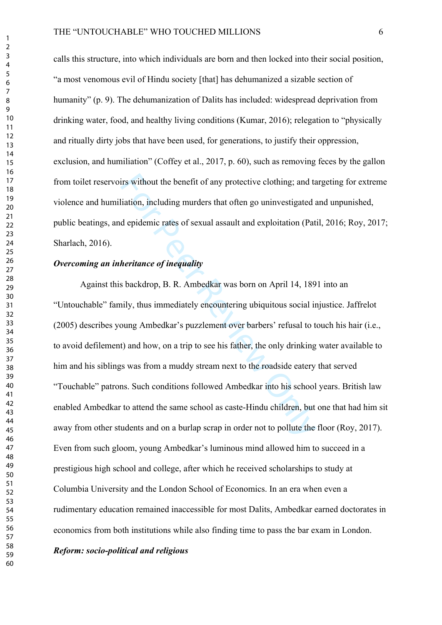calls this structure, into which individuals are born and then locked into their social position, "a most venomous evil of Hindu society [that] has dehumanized a sizable section of humanity" (p. 9). The dehumanization of Dalits has included: widespread deprivation from drinking water, food, and healthy living conditions (Kumar, 2016); relegation to "physically and ritually dirty jobs that have been used, for generations, to justify their oppression, exclusion, and humiliation" (Coffey et al., 2017, p. 60), such as removing feces by the gallon from toilet reservoirs without the benefit of any protective clothing; and targeting for extreme violence and humiliation, including murders that often go uninvestigated and unpunished, public beatings, and epidemic rates of sexual assault and exploitation (Patil, 2016; Roy, 2017; Sharlach, 2016).

#### *Overcoming an inheritance of inequality*

irs without the benefit of any protective clothing; and taition, including murders that often go uninvestigated and exploitation (Pat depidemic rates of sexual assault and exploitation (Pat depidemic rates of sexual assaul Against this backdrop, B. R. Ambedkar was born on April 14, 1891 into an "Untouchable" family, thus immediately encountering ubiquitous social injustice. Jaffrelot (2005) describes young Ambedkar's puzzlement over barbers' refusal to touch his hair (i.e., to avoid defilement) and how, on a trip to see his father, the only drinking water available to him and his siblings was from a muddy stream next to the roadside eatery that served "Touchable" patrons. Such conditions followed Ambedkar into his school years. British law enabled Ambedkar to attend the same school as caste-Hindu children, but one that had him sit away from other students and on a burlap scrap in order not to pollute the floor (Roy, 2017). Even from such gloom, young Ambedkar's luminous mind allowed him to succeed in a prestigious high school and college, after which he received scholarships to study at Columbia University and the London School of Economics. In an era when even a rudimentary education remained inaccessible for most Dalits, Ambedkar earned doctorates in economics from both institutions while also finding time to pass the bar exam in London.

#### *Reform: socio-political and religious*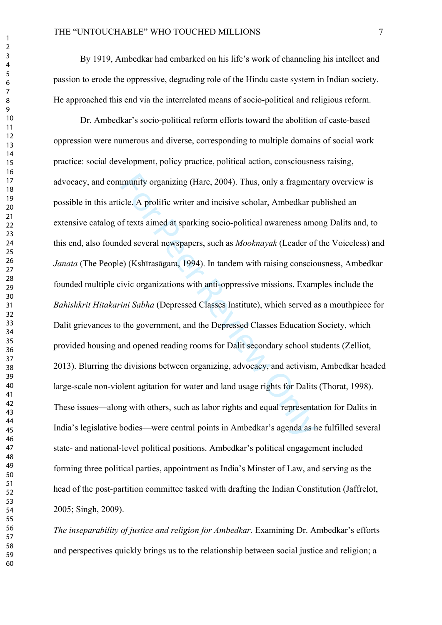By 1919, Ambedkar had embarked on his life's work of channeling his intellect and passion to erode the oppressive, degrading role of the Hindu caste system in Indian society. He approached this end via the interrelated means of socio-political and religious reform.

munity organizing (Hare, 2004). Thus, only a fragmen<br>cle. A prolific writer and incisive scholar, Ambedkar p<br>of texts aimed at sparking socio-political awareness ame<br>ded several newspapers, such as *Mooknayak* (Leader of<br>e Dr. Ambedkar's socio-political reform efforts toward the abolition of caste-based oppression were numerous and diverse, corresponding to multiple domains of social work practice: social development, policy practice, political action, consciousness raising, advocacy, and community organizing (Hare, 2004). Thus, only a fragmentary overview is possible in this article. A prolific writer and incisive scholar, Ambedkar published an extensive catalog of texts aimed at sparking socio-political awareness among Dalits and, to this end, also founded several newspapers, such as *Mooknayak* (Leader of the Voiceless) and *Janata* (The People) (Kshīrasāgara, 1994). In tandem with raising consciousness, Ambedkar founded multiple civic organizations with anti-oppressive missions. Examples include the *Bahishkrit Hitakarini Sabha* (Depressed Classes Institute), which served as a mouthpiece for Dalit grievances to the government, and the Depressed Classes Education Society, which provided housing and opened reading rooms for Dalit secondary school students (Zelliot, 2013). Blurring the divisions between organizing, advocacy, and activism, Ambedkar headed large-scale non-violent agitation for water and land usage rights for Dalits (Thorat, 1998). These issues—along with others, such as labor rights and equal representation for Dalits in India's legislative bodies—were central points in Ambedkar's agenda as he fulfilled several state- and national-level political positions. Ambedkar's political engagement included forming three political parties, appointment as India's Minster of Law, and serving as the head of the post-partition committee tasked with drafting the Indian Constitution (Jaffrelot, 2005; Singh, 2009).

*The inseparability of justice and religion for Ambedkar.* Examining Dr. Ambedkar's efforts and perspectives quickly brings us to the relationship between social justice and religion; a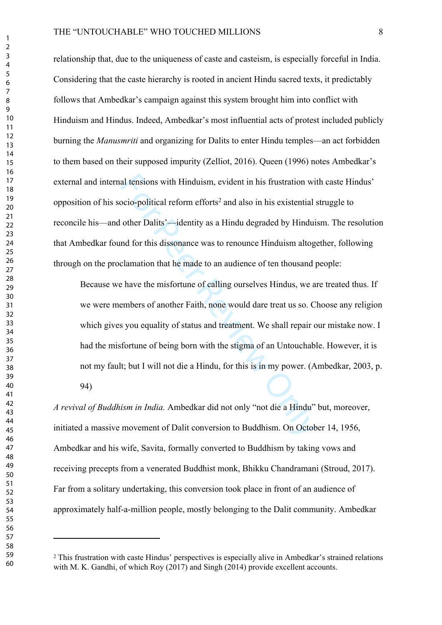relationship that, due to the uniqueness of caste and casteism, is especially forceful in India. Considering that the caste hierarchy is rooted in ancient Hindu sacred texts, it predictably follows that Ambedkar's campaign against this system brought him into conflict with Hinduism and Hindus. Indeed, Ambedkar's most influential acts of protest included publicly burning the *Manusmriti* and organizing for Dalits to enter Hindu temples—an act forbidden to them based on their supposed impurity (Zelliot, 2016). Queen (1996) notes Ambedkar's external and internal tensions with Hinduism, evident in his frustration with caste Hindus' opposition of his socio-political reform efforts 2 and also in his existential struggle to reconcile his—and other Dalits'—identity as a Hindu degraded by Hinduism. The resolution that Ambedkar found for this dissonance was to renounce Hinduism altogether, following through on the proclamation that he made to an audience of ten thousand people:

al tensions with Hinduism, evident in his frustration wi<br>ocio-political reform efforts<sup>2</sup> and also in his existential<br>other Dalits'—identity as a Hindu degraded by Hindui<br>nd for this dissonance was to renounce Hinduism alt Because we have the misfortune of calling ourselves Hindus, we are treated thus. If we were members of another Faith, none would dare treat us so. Choose any religion which gives you equality of status and treatment. We shall repair our mistake now. I had the misfortune of being born with the stigma of an Untouchable. However, it is not my fault; but I will not die a Hindu, for this is in my power. (Ambedkar, 2003, p. 94)

*A revival of Buddhism in India.* Ambedkar did not only "not die a Hindu" but, moreover, initiated a massive movement of Dalit conversion to Buddhism. On October 14, 1956, Ambedkar and his wife, Savita, formally converted to Buddhism by taking vows and receiving precepts from a venerated Buddhist monk, Bhikku Chandramani (Stroud, 2017). Far from a solitary undertaking, this conversion took place in front of an audience of approximately half-a-million people, mostly belonging to the Dalit community. Ambedkar

<sup>&</sup>lt;sup>2</sup> This frustration with caste Hindus' perspectives is especially alive in Ambedkar's strained relations with M. K. Gandhi, of which Roy (2017) and Singh (2014) provide excellent accounts.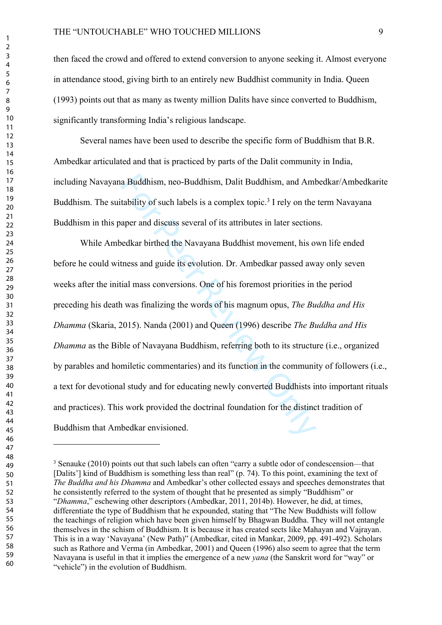then faced the crowd and offered to extend conversion to anyone seeking it. Almost everyone in attendance stood, giving birth to an entirely new Buddhist community in India. Queen (1993) points out that as many as twenty million Dalits have since converted to Buddhism, significantly transforming India's religious landscape.

Several names have been used to describe the specific form of Buddhism that B.R. Ambedkar articulated and that is practiced by parts of the Dalit community in India, including Navayana Buddhism, neo-Buddhism, Dalit Buddhism, and Ambedkar/Ambedkarite Buddhism. The suitability of such labels is a complex topic.<sup>3</sup> I rely on the term Navayana Buddhism in this paper and discuss several of its attributes in later sections.

a Buddhism, neo-Buddhism, Dalit Buddhism, and Am<br>tability of such labels is a complex topic.<sup>3</sup> I rely on the<br>aper and discuss several of its attributes in later section<br>oedkar birthed the Navayana Buddhist movement, his While Ambedkar birthed the Navayana Buddhist movement, his own life ended before he could witness and guide its evolution. Dr. Ambedkar passed away only seven weeks after the initial mass conversions. One of his foremost priorities in the period preceding his death was finalizing the words of his magnum opus, *The Buddha and His Dhamma* (Skaria, 2015). Nanda (2001) and Queen (1996) describe *The Buddha and His Dhamma* as the Bible of Navayana Buddhism, referring both to its structure (i.e., organized by parables and homiletic commentaries) and its function in the community of followers (i.e., a text for devotional study and for educating newly converted Buddhists into important rituals and practices). This work provided the doctrinal foundation for the distinct tradition of Buddhism that Ambedkar envisioned.

 $\mathbf{1}$ 

<sup>&</sup>lt;sup>3</sup> Senauke (2010) points out that such labels can often "carry a subtle odor of condescension—that [Dalits'] kind of Buddhism is something less than real" (p. 74). To this point, examining the text of *The Buddha and his Dhamma* and Ambedkar's other collected essays and speeches demonstrates that he consistently referred to the system of thought that he presented as simply "Buddhism" or "*Dhamma*," eschewing other descriptors (Ambedkar, 2011, 2014b). However, he did, at times, differentiate the type of Buddhism that he expounded, stating that "The New Buddhists will follow the teachings of religion which have been given himself by Bhagwan Buddha. They will not entangle themselves in the schism of Buddhism. It is because it has created sects like Mahayan and Vajrayan. This is in a way 'Navayana' (New Path)" (Ambedkar, cited in Mankar, 2009, pp. 491-492). Scholars such as Rathore and Verma (in Ambedkar, 2001) and Queen (1996) also seem to agree that the term Navayana is useful in that it implies the emergence of a new *yana* (the Sanskrit word for "way" or "vehicle") in the evolution of Buddhism.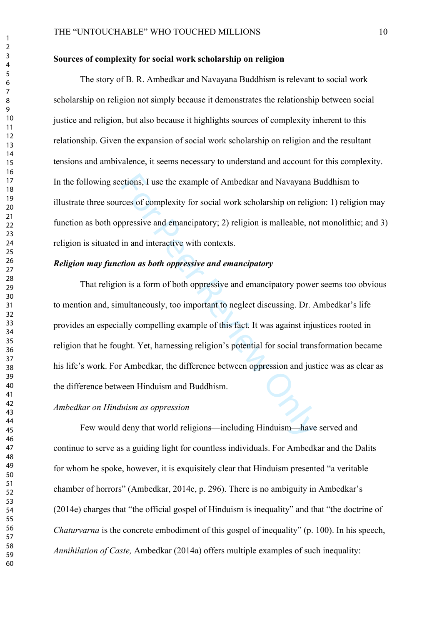#### **Sources of complexity for social work scholarship on religion**

The story of B. R. Ambedkar and Navayana Buddhism is relevant to social work scholarship on religion not simply because it demonstrates the relationship between social justice and religion, but also because it highlights sources of complexity inherent to this relationship. Given the expansion of social work scholarship on religion and the resultant tensions and ambivalence, it seems necessary to understand and account for this complexity. In the following sections, I use the example of Ambedkar and Navayana Buddhism to illustrate three sources of complexity for social work scholarship on religion: 1) religion may function as both oppressive and emancipatory; 2) religion is malleable, not monolithic; and 3) religion is situated in and interactive with contexts.

#### *Religion may function as both oppressive and emancipatory*

ctions, I use the example of Ambedkar and Navayana Frees of complexity for social work scholarship on religion<br>pressive and emancipatory; 2) religion is malleable, no<br>in and interactive with contexts.<br>tion as both oppressi That religion is a form of both oppressive and emancipatory power seems too obvious to mention and, simultaneously, too important to neglect discussing. Dr. Ambedkar's life provides an especially compelling example of this fact. It was against injustices rooted in religion that he fought. Yet, harnessing religion's potential for social transformation became his life's work. For Ambedkar, the difference between oppression and justice was as clear as the difference between Hinduism and Buddhism.

#### *Ambedkar on Hinduism as oppression*

Few would deny that world religions—including Hinduism—have served and continue to serve as a guiding light for countless individuals. For Ambedkar and the Dalits for whom he spoke, however, it is exquisitely clear that Hinduism presented "a veritable chamber of horrors" (Ambedkar, 2014c, p. 296). There is no ambiguity in Ambedkar's (2014e) charges that "the official gospel of Hinduism is inequality" and that "the doctrine of *Chaturvarna* is the concrete embodiment of this gospel of inequality" (p. 100). In his speech, *Annihilation of Caste,* Ambedkar (2014a) offers multiple examples of such inequality: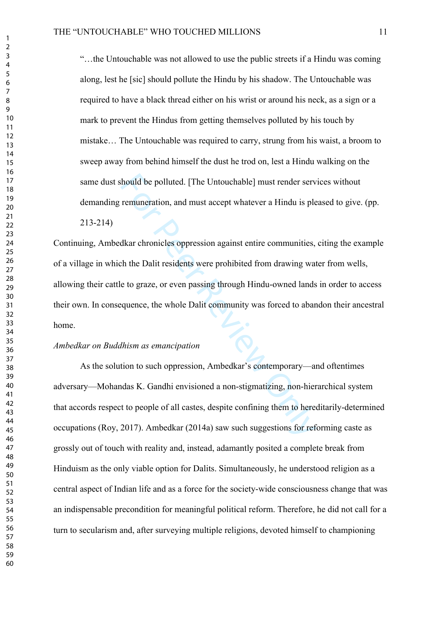"…the Untouchable was not allowed to use the public streets if a Hindu was coming along, lest he [sic] should pollute the Hindu by his shadow. The Untouchable was required to have a black thread either on his wrist or around his neck, as a sign or a mark to prevent the Hindus from getting themselves polluted by his touch by mistake… The Untouchable was required to carry, strung from his waist, a broom to sweep away from behind himself the dust he trod on, lest a Hindu walking on the same dust should be polluted. [The Untouchable] must render services without demanding remuneration, and must accept whatever a Hindu is pleased to give. (pp. 213-214)

thould be polluted. [The Untouchable] must render serv<br>remuneration, and must accept whatever a Hindu is ple<br>dkar chronicles oppression against entire communities,<br>the Dalit residents were prohibited from drawing ware<br>to g Continuing, Ambedkar chronicles oppression against entire communities, citing the example of a village in which the Dalit residents were prohibited from drawing water from wells, allowing their cattle to graze, or even passing through Hindu-owned lands in order to access their own. In consequence, the whole Dalit community was forced to abandon their ancestral home.

#### *Ambedkar on Buddhism as emancipation*

As the solution to such oppression, Ambedkar's contemporary—and oftentimes adversary—Mohandas K. Gandhi envisioned a non-stigmatizing, non-hierarchical system that accords respect to people of all castes, despite confining them to hereditarily-determined occupations (Roy, 2017). Ambedkar (2014a) saw such suggestions for reforming caste as grossly out of touch with reality and, instead, adamantly posited a complete break from Hinduism as the only viable option for Dalits. Simultaneously, he understood religion as a central aspect of Indian life and as a force for the society-wide consciousness change that was an indispensable precondition for meaningful political reform. Therefore, he did not call for a turn to secularism and, after surveying multiple religions, devoted himself to championing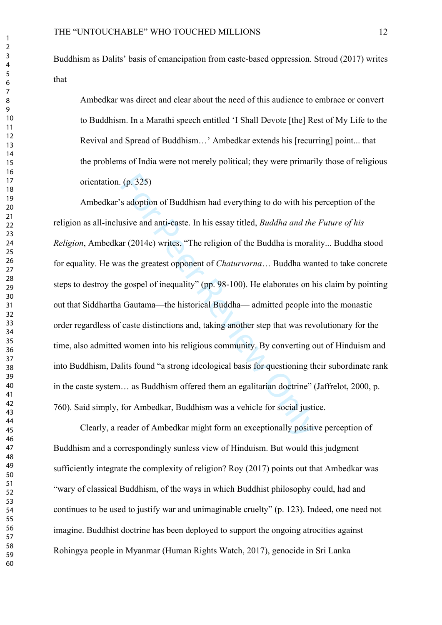## Buddhism as Dalits' basis of emancipation from caste-based oppression. Stroud (2017) writes that

Ambedkar was direct and clear about the need of this audience to embrace or convert to Buddhism. In a Marathi speech entitled 'I Shall Devote [the] Rest of My Life to the Revival and Spread of Buddhism…' Ambedkar extends his [recurring] point... that the problems of India were not merely political; they were primarily those of religious orientation. (p. 325)

(p. 325)<br>s adoption of Buddhism had everything to do with his pair and anti-caste. In his essay titled, *Buddha and the*<br>ar (2014e) writes, "The religion of the Buddha is morals<br>as the greatest opponent of *Chaturvarna...* Ambedkar's adoption of Buddhism had everything to do with his perception of the religion as all-inclusive and anti-caste. In his essay titled, *Buddha and the Future of his Religion*, Ambedkar (2014e) writes, "The religion of the Buddha is morality... Buddha stood for equality. He was the greatest opponent of *Chaturvarna*… Buddha wanted to take concrete steps to destroy the gospel of inequality" (pp. 98-100). He elaborates on his claim by pointing out that Siddhartha Gautama—the historical Buddha— admitted people into the monastic order regardless of caste distinctions and, taking another step that was revolutionary for the time, also admitted women into his religious community. By converting out of Hinduism and into Buddhism, Dalits found "a strong ideological basis for questioning their subordinate rank in the caste system… as Buddhism offered them an egalitarian doctrine" (Jaffrelot, 2000, p. 760). Said simply, for Ambedkar, Buddhism was a vehicle for social justice.

Clearly, a reader of Ambedkar might form an exceptionally positive perception of Buddhism and a correspondingly sunless view of Hinduism. But would this judgment sufficiently integrate the complexity of religion? Roy (2017) points out that Ambedkar was "wary of classical Buddhism, of the ways in which Buddhist philosophy could, had and continues to be used to justify war and unimaginable cruelty" (p. 123). Indeed, one need not imagine. Buddhist doctrine has been deployed to support the ongoing atrocities against Rohingya people in Myanmar (Human Rights Watch, 2017), genocide in Sri Lanka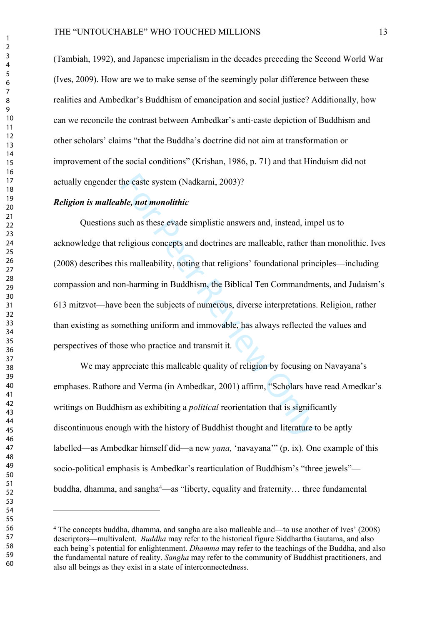(Tambiah, 1992), and Japanese imperialism in the decades preceding the Second World War (Ives, 2009). How are we to make sense of the seemingly polar difference between these realities and Ambedkar's Buddhism of emancipation and social justice? Additionally, how can we reconcile the contrast between Ambedkar's anti-caste depiction of Buddhism and other scholars' claims "that the Buddha's doctrine did not aim at transformation or improvement of the social conditions" (Krishan, 1986, p. 71) and that Hinduism did not actually engender the caste system (Nadkarni, 2003)?

#### *Religion is malleable, not monolithic*

the caste system (Nadkarni, 2003)?<br>
ble, not monolithic<br>
such as these evade simplistic answers and, instead, im<br>
religious concepts and doctrines are malleable, rather th<br>
his malleability, noting that religions' foundati Questions such as these evade simplistic answers and, instead, impel us to acknowledge that religious concepts and doctrines are malleable, rather than monolithic. Ives (2008) describes this malleability, noting that religions' foundational principles—including compassion and non-harming in Buddhism, the Biblical Ten Commandments, and Judaism's 613 mitzvot—have been the subjects of numerous, diverse interpretations. Religion, rather than existing as something uniform and immovable, has always reflected the values and perspectives of those who practice and transmit it.

We may appreciate this malleable quality of religion by focusing on Navayana's emphases. Rathore and Verma (in Ambedkar, 2001) affirm, "Scholars have read Amedkar's writings on Buddhism as exhibiting a *political* reorientation that is significantly discontinuous enough with the history of Buddhist thought and literature to be aptly labelled—as Ambedkar himself did—a new *yana,* 'navayana'" (p. ix). One example of this socio-political emphasis is Ambedkar's rearticulation of Buddhism's "three jewels" buddha, dhamma, and sangha<sup>4</sup>—as "liberty, equality and fraternity... three fundamental

 The concepts buddha, dhamma, and sangha are also malleable and—to use another of Ives' (2008) descriptors—multivalent. *Buddha* may refer to the historical figure Siddhartha Gautama, and also each being's potential for enlightenment. *Dhamma* may refer to the teachings of the Buddha, and also the fundamental nature of reality. *Sangha* may refer to the community of Buddhist practitioners, and also all beings as they exist in a state of interconnectedness.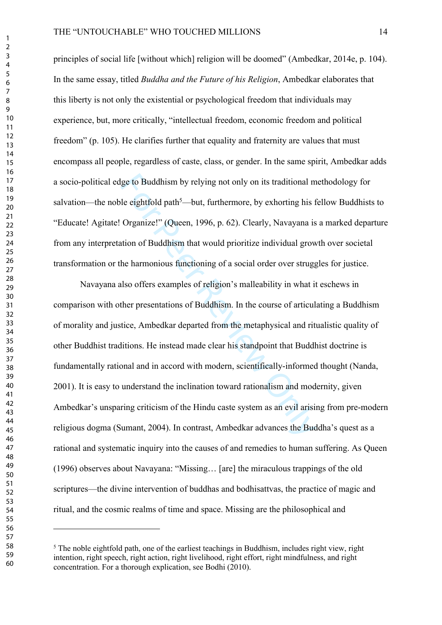#### THE "UNTOUCHABLE" WHO TOUCHED MILLIONS 14

principles of social life [without which] religion will be doomed" (Ambedkar, 2014e, p. 104). In the same essay, titled *Buddha and the Future of his Religion*, Ambedkar elaborates that this liberty is not only the existential or psychological freedom that individuals may experience, but, more critically, "intellectual freedom, economic freedom and political freedom" (p. 105). He clarifies further that equality and fraternity are values that must encompass all people, regardless of caste, class, or gender. In the same spirit, Ambedkar adds a socio-political edge to Buddhism by relying not only on its traditional methodology for salvation—the noble eightfold path<sup>5</sup>—but, furthermore, by exhorting his fellow Buddhists to "Educate! Agitate! Organize!" (Queen, 1996, p. 62). Clearly, Navayana is a marked departure from any interpretation of Buddhism that would prioritize individual growth over societal transformation or the harmonious functioning of a social order over struggles for justice.

lge to Buddhism by relying not only on its traditional m<br>le eightfold path<sup>5</sup>—but, furthermore, by exhorting his f<br>Organize!" (Queen, 1996, p. 62). Clearly, Navayana is<br>tition of Buddhism that would prioritize individual g Navayana also offers examples of religion's malleability in what it eschews in comparison with other presentations of Buddhism. In the course of articulating a Buddhism of morality and justice, Ambedkar departed from the metaphysical and ritualistic quality of other Buddhist traditions. He instead made clear his standpoint that Buddhist doctrine is fundamentally rational and in accord with modern, scientifically-informed thought (Nanda, 2001). It is easy to understand the inclination toward rationalism and modernity, given Ambedkar's unsparing criticism of the Hindu caste system as an evil arising from pre-modern religious dogma (Sumant, 2004). In contrast, Ambedkar advances the Buddha's quest as a rational and systematic inquiry into the causes of and remedies to human suffering. As Queen (1996) observes about Navayana: "Missing… [are] the miraculous trappings of the old scriptures—the divine intervention of buddhas and bodhisattvas, the practice of magic and ritual, and the cosmic realms of time and space. Missing are the philosophical and

<sup>&</sup>lt;sup>5</sup> The noble eightfold path, one of the earliest teachings in Buddhism, includes right view, right intention, right speech, right action, right livelihood, right effort, right mindfulness, and right concentration. For a thorough explication, see Bodhi (2010).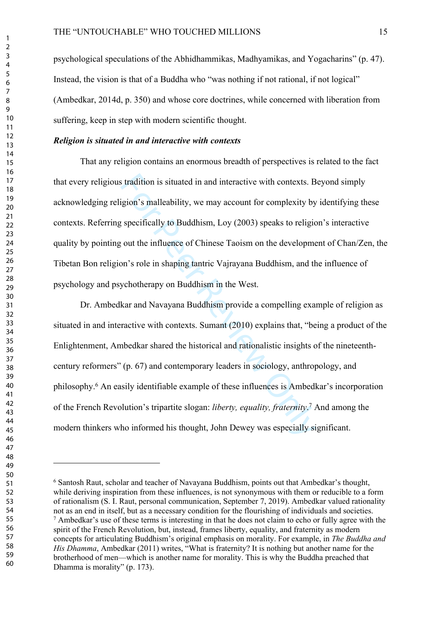psychological speculations of the Abhidhammikas, Madhyamikas, and Yogacharins" (p. 47). Instead, the vision is that of a Buddha who "was nothing if not rational, if not logical" (Ambedkar, 2014d, p. 350) and whose core doctrines, while concerned with liberation from suffering, keep in step with modern scientific thought.

#### *Religion is situated in and interactive with contexts*

That any religion contains an enormous breadth of perspectives is related to the fact that every religious tradition is situated in and interactive with contexts. Beyond simply acknowledging religion's malleability, we may account for complexity by identifying these contexts. Referring specifically to Buddhism, Loy (2003) speaks to religion's interactive quality by pointing out the influence of Chinese Taoism on the development of Chan/Zen, the Tibetan Bon religion's role in shaping tantric Vajrayana Buddhism, and the influence of psychology and psychotherapy on Buddhism in the West.

is tradition is situated in and interactive with contexts. B<br>gion's malleability, we may account for complexity by<br>specifically to Buddhism, Loy (2003) speaks to religic<br>out the influence of Chinese Taoism on the developme Dr. Ambedkar and Navayana Buddhism provide a compelling example of religion as situated in and interactive with contexts. Sumant (2010) explains that, "being a product of the Enlightenment, Ambedkar shared the historical and rationalistic insights of the nineteenthcentury reformers" (p. 67) and contemporary leaders in sociology, anthropology, and philosophy. 6 An easily identifiable example of these influences is Ambedkar's incorporation of the French Revolution's tripartite slogan: *liberty, equality, fraternity* . 7 And among the modern thinkers who informed his thought, John Dewey was especially significant.

 $\mathbf{1}$ 

 Santosh Raut, scholar and teacher of Navayana Buddhism, points out that Ambedkar's thought, while deriving inspiration from these influences, is not synonymous with them or reducible to a form of rationalism (S. I. Raut, personal communication, September 7, 2019). Ambedkar valued rationality not as an end in itself, but as a necessary condition for the flourishing of individuals and societies. <sup>7</sup> Ambedkar's use of these terms is interesting in that he does not claim to echo or fully agree with the spirit of the French Revolution, but, instead, frames liberty, equality, and fraternity as modern concepts for articulating Buddhism's original emphasis on morality. For example, in *The Buddha and His Dhamma*, Ambedkar (2011) writes, "What is fraternity? It is nothing but another name for the brotherhood of men—which is another name for morality. This is why the Buddha preached that Dhamma is morality" (p. 173).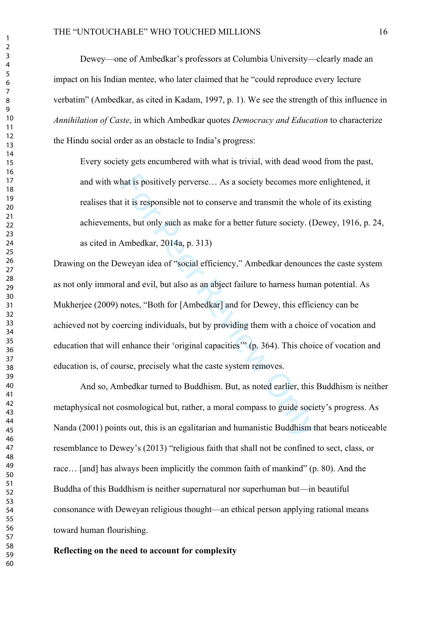Dewey—one of Ambedkar's professors at Columbia University—clearly made an impact on his Indian mentee, who later claimed that he "could reproduce every lecture verbatim" (Ambedkar, as cited in Kadam, 1997, p. 1). We see the strength of this influence in *Annihilation of Caste*, in which Ambedkar quotes *Democracy and Education* to characterize the Hindu social order as an obstacle to India's progress:

Every society gets encumbered with what is trivial, with dead wood from the past, and with what is positively perverse… As a society becomes more enlightened, it realises that it is responsible not to conserve and transmit the whole of its existing achievements, but only such as make for a better future society. (Dewey, 1916, p. 24, as cited in Ambedkar, 2014a, p. 313)

hat is positively perverse... As a society becomes more<br>it is responsible not to conserve and transmit the whol<br>its, but only such as make for a better future society. (L<br>Ambedkar, 2014a, p. 313)<br>weyan idea of "social effi Drawing on the Deweyan idea of "social efficiency," Ambedkar denounces the caste system as not only immoral and evil, but also as an abject failure to harness human potential. As Mukherjee (2009) notes, "Both for [Ambedkar] and for Dewey, this efficiency can be achieved not by coercing individuals, but by providing them with a choice of vocation and education that will enhance their 'original capacities'" (p. 364). This choice of vocation and education is, of course, precisely what the caste system removes.

And so, Ambedkar turned to Buddhism. But, as noted earlier, this Buddhism is neither metaphysical not cosmological but, rather, a moral compass to guide society's progress. As Nanda (2001) points out, this is an egalitarian and humanistic Buddhism that bears noticeable resemblance to Dewey's (2013) "religious faith that shall not be confined to sect, class, or race... [and] has always been implicitly the common faith of mankind" (p. 80). And the Buddha of this Buddhism is neither supernatural nor superhuman but—in beautiful consonance with Deweyan religious thought—an ethical person applying rational means toward human flourishing.

#### **Reflecting on the need to account for complexity**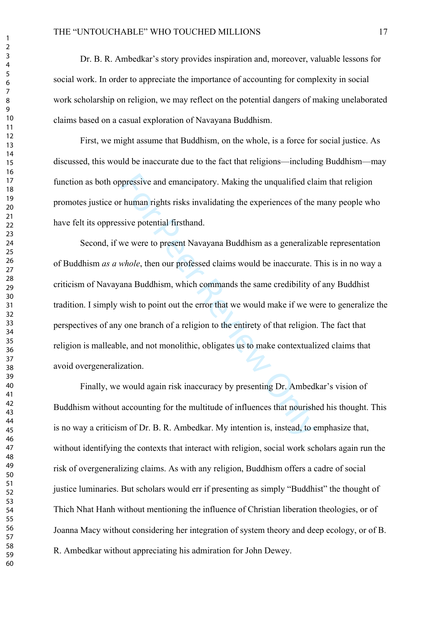Dr. B. R. Ambedkar's story provides inspiration and, moreover, valuable lessons for social work. In order to appreciate the importance of accounting for complexity in social work scholarship on religion, we may reflect on the potential dangers of making unelaborated claims based on a casual exploration of Navayana Buddhism.

First, we might assume that Buddhism, on the whole, is a force for social justice. As discussed, this would be inaccurate due to the fact that religions—including Buddhism—may function as both oppressive and emancipatory. Making the unqualified claim that religion promotes justice or human rights risks invalidating the experiences of the many people who have felt its oppressive potential firsthand.

pressive and emancipatory. Making the unqualified cla<br>
human rights risks invalidating the experiences of the<br>
sive potential firsthand.<br>
we were to present Navayana Buddhism as a generaliza<br> *whole*, then our professed cl Second, if we were to present Navayana Buddhism as a generalizable representation of Buddhism *as a whole*, then our professed claims would be inaccurate. This is in no way a criticism of Navayana Buddhism, which commands the same credibility of any Buddhist tradition. I simply wish to point out the error that we would make if we were to generalize the perspectives of any one branch of a religion to the entirety of that religion. The fact that religion is malleable, and not monolithic, obligates us to make contextualized claims that avoid overgeneralization.

Finally, we would again risk inaccuracy by presenting Dr. Ambedkar's vision of Buddhism without accounting for the multitude of influences that nourished his thought. This is no way a criticism of Dr. B. R. Ambedkar. My intention is, instead, to emphasize that, without identifying the contexts that interact with religion, social work scholars again run the risk of overgeneralizing claims. As with any religion, Buddhism offers a cadre of social justice luminaries. But scholars would err if presenting as simply "Buddhist" the thought of Thich Nhat Hanh without mentioning the influence of Christian liberation theologies, or of Joanna Macy without considering her integration of system theory and deep ecology, or of B. R. Ambedkar without appreciating his admiration for John Dewey.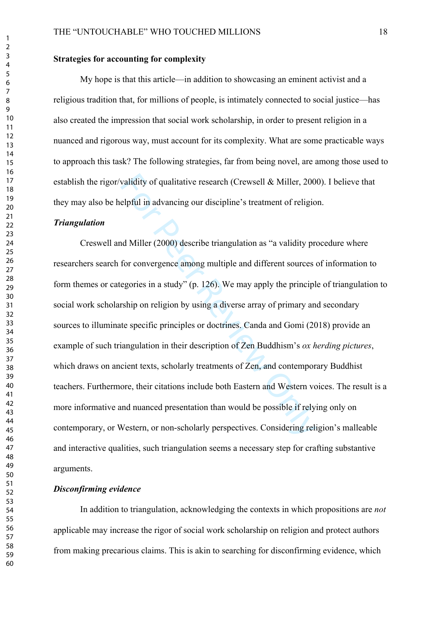#### **Strategies for accounting for complexity**

My hope is that this article—in addition to showcasing an eminent activist and a religious tradition that, for millions of people, is intimately connected to social justice—has also created the impression that social work scholarship, in order to present religion in a nuanced and rigorous way, must account for its complexity. What are some practicable ways to approach this task? The following strategies, far from being novel, are among those used to establish the rigor/validity of qualitative research (Crewsell & Miller, 2000). I believe that they may also be helpful in advancing our discipline's treatment of religion.

#### *Triangulation*

validity of qualitative research (Crewsell & Miller, 200<br>elpful in advancing our discipline's treatment of religio<br>ad Miller (2000) describe triangulation as "a validity pr<br>for convergence among multiple and different sou Creswell and Miller (2000) describe triangulation as "a validity procedure where researchers search for convergence among multiple and different sources of information to form themes or categories in a study" (p. 126). We may apply the principle of triangulation to social work scholarship on religion by using a diverse array of primary and secondary sources to illuminate specific principles or doctrines. Canda and Gomi (2018) provide an example of such triangulation in their description of Zen Buddhism's *ox herding pictures*, which draws on ancient texts, scholarly treatments of Zen, and contemporary Buddhist teachers. Furthermore, their citations include both Eastern and Western voices. The result is a more informative and nuanced presentation than would be possible if relying only on contemporary, or Western, or non-scholarly perspectives. Considering religion's malleable and interactive qualities, such triangulation seems a necessary step for crafting substantive arguments.

#### *Disconfirming evidence*

In addition to triangulation, acknowledging the contexts in which propositions are *not* applicable may increase the rigor of social work scholarship on religion and protect authors from making precarious claims. This is akin to searching for disconfirming evidence, which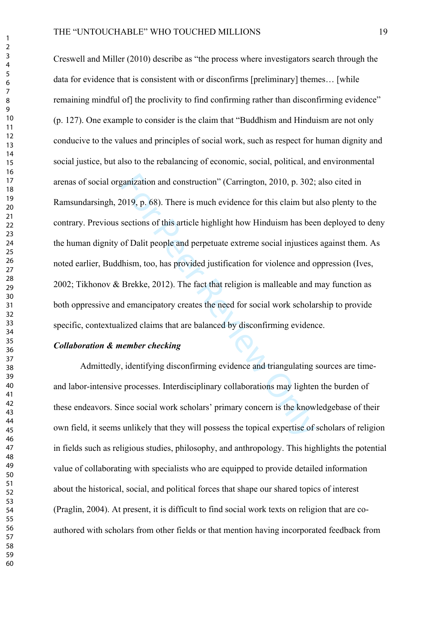ganization and construction" (Carrington, 2010, p. 302;<br>2019, p. 68). There is much evidence for this claim but a<br>sections of this article highlight how Hinduism has bee<br>of Dalit people and perpetuate extreme social injust Creswell and Miller (2010) describe as "the process where investigators search through the data for evidence that is consistent with or disconfirms [preliminary] themes… [while remaining mindful of the proclivity to find confirming rather than disconfirming evidence" (p. 127). One example to consider is the claim that "Buddhism and Hinduism are not only conducive to the values and principles of social work, such as respect for human dignity and social justice, but also to the rebalancing of economic, social, political, and environmental arenas of social organization and construction" (Carrington, 2010, p. 302; also cited in Ramsundarsingh, 2019, p. 68). There is much evidence for this claim but also plenty to the contrary. Previous sections of this article highlight how Hinduism has been deployed to deny the human dignity of Dalit people and perpetuate extreme social injustices against them. As noted earlier, Buddhism, too, has provided justification for violence and oppression (Ives, 2002; Tikhonov & Brekke, 2012). The fact that religion is malleable and may function as both oppressive and emancipatory creates the need for social work scholarship to provide specific, contextualized claims that are balanced by disconfirming evidence.

#### *Collaboration & member checking*

Admittedly, identifying disconfirming evidence and triangulating sources are timeand labor-intensive processes. Interdisciplinary collaborations may lighten the burden of these endeavors. Since social work scholars' primary concern is the knowledgebase of their own field, it seems unlikely that they will possess the topical expertise of scholars of religion in fields such as religious studies, philosophy, and anthropology. This highlights the potential value of collaborating with specialists who are equipped to provide detailed information about the historical, social, and political forces that shape our shared topics of interest (Praglin, 2004). At present, it is difficult to find social work texts on religion that are coauthored with scholars from other fields or that mention having incorporated feedback from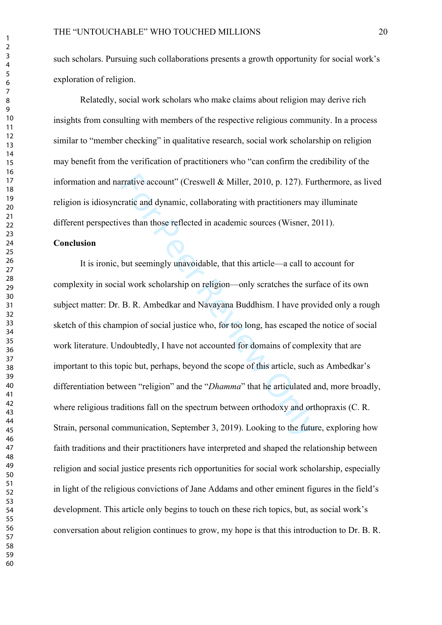such scholars. Pursuing such collaborations presents a growth opportunity for social work's exploration of religion.

Relatedly, social work scholars who make claims about religion may derive rich insights from consulting with members of the respective religious community. In a process similar to "member checking" in qualitative research, social work scholarship on religion may benefit from the verification of practitioners who "can confirm the credibility of the information and narrative account" (Creswell & Miller, 2010, p. 127). Furthermore, as lived religion is idiosyncratic and dynamic, collaborating with practitioners may illuminate different perspectives than those reflected in academic sources (Wisner, 2011).

#### **Conclusion**

account" (Creswell & Miller, 2010, p. 127). Furnatic and dynamic, collaborating with practitioners may<br>ves than those reflected in academic sources (Wisner, 2<br>but seemingly unavoidable, that this article—a call to a<br>al wor It is ironic, but seemingly unavoidable, that this article—a call to account for complexity in social work scholarship on religion—only scratches the surface of its own subject matter: Dr. B. R. Ambedkar and Navayana Buddhism. I have provided only a rough sketch of this champion of social justice who, for too long, has escaped the notice of social work literature. Undoubtedly, I have not accounted for domains of complexity that are important to this topic but, perhaps, beyond the scope of this article, such as Ambedkar's differentiation between "religion" and the "*Dhamma*" that he articulated and, more broadly, where religious traditions fall on the spectrum between orthodoxy and orthopraxis (C. R. Strain, personal communication, September 3, 2019). Looking to the future, exploring how faith traditions and their practitioners have interpreted and shaped the relationship between religion and social justice presents rich opportunities for social work scholarship, especially in light of the religious convictions of Jane Addams and other eminent figures in the field's development. This article only begins to touch on these rich topics, but, as social work's conversation about religion continues to grow, my hope is that this introduction to Dr. B. R.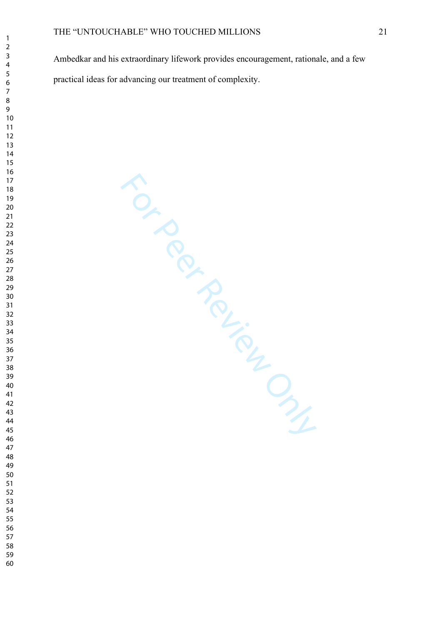#### THE "UNTOUCHABLE" WHO TOUCHED MILLIONS 21

Ambedkar and his extraordinary lifework provides encouragement, rationale, and a few practical ideas for advancing our treatment of complexity.

For Per Review Only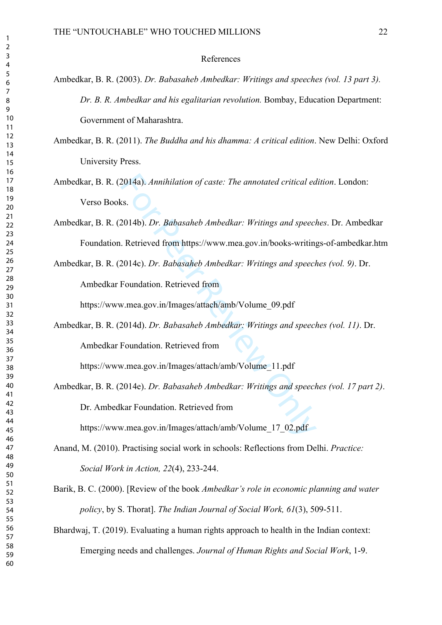#### References

- Ambedkar, B. R. (2003). *Dr. Babasaheb Ambedkar: Writings and speeches (vol. 13 part 3). Dr. B. R. Ambedkar and his egalitarian revolution.* Bombay, Education Department: Government of Maharashtra.
- Ambedkar, B. R. (2011). *The Buddha and his dhamma: A critical edition*. New Delhi: Oxford University Press.
- Ambedkar, B. R. (2014a). *Annihilation of caste: The annotated critical edition*. London: Verso Books.
- Ambedkar, B. R. (2014b). *Dr. Babasaheb Ambedkar: Writings and speeches*. Dr. Ambedkar Foundation. Retrieved from https://www.mea.gov.in/books-writings-of-ambedkar.htm
- Ambedkar, B. R. (2014c). *Dr. Babasaheb Ambedkar: Writings and speeches (vol. 9)*. Dr.

Ambedkar Foundation. Retrieved from

https://www.mea.gov.in/Images/attach/amb/Volume\_09.pdf

Ambedkar, B. R. (2014d). *Dr. Babasaheb Ambedkar: Writings and speeches (vol. 11)*. Dr. Ambedkar Foundation. Retrieved from

https://www.mea.gov.in/Images/attach/amb/Volume\_11.pdf

2014a). Annihilation of caste: The annotated critical eass.<br>
Es.<br>
Es.<br>
2014b). *Dr. Babasaheb Ambedkar: Writings and speeci*.<br>
Retrieved from https://www.mea.gov.in/books-writing<br>
2014c). *Dr. Babasaheb Ambedkar: Writings* Ambedkar, B. R. (2014e). *Dr. Babasaheb Ambedkar: Writings and speeches (vol. 17 part 2)*. Dr. Ambedkar Foundation. Retrieved from

https://www.mea.gov.in/Images/attach/amb/Volume\_17\_02.pdf

- Anand, M. (2010). Practising social work in schools: Reflections from Delhi. *Practice: Social Work in Action, 22*(4), 233-244.
- Barik, B. C. (2000). [Review of the book *Ambedkar's role in economic planning and water policy*, by S. Thorat]. *The Indian Journal of Social Work, 61*(3), 509-511.
- Bhardwaj, T. (2019). Evaluating a human rights approach to health in the Indian context: Emerging needs and challenges. *Journal of Human Rights and Social Work*, 1-9.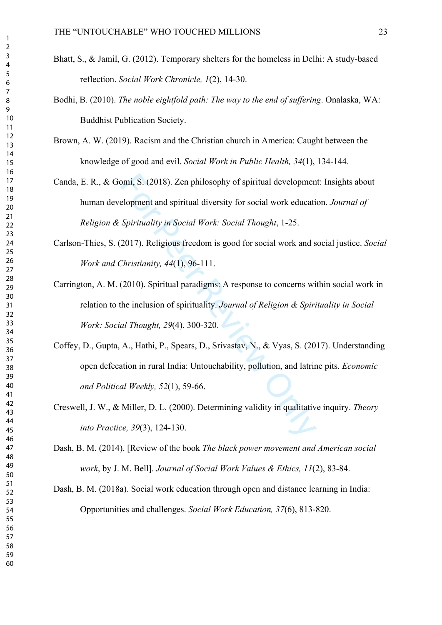- Bhatt, S., & Jamil, G. (2012). Temporary shelters for the homeless in Delhi: A study-based reflection. *Social Work Chronicle, 1*(2), 14-30.
- Bodhi, B. (2010). *The noble eightfold path: The way to the end of suffering*. Onalaska, WA: Buddhist Publication Society.
- Brown, A. W. (2019). Racism and the Christian church in America: Caught between the knowledge of good and evil. *Social Work in Public Health, 34*(1), 134-144.
- omi, S. (2018). Zen philosophy of spiritual developmen<br>elopment and spiritual diversity for social work educati<br>Spirituality in Social Work: Social Thought, 1-25.<br>2017). Religious freedom is good for social work and s<br>Thri Canda, E. R., & Gomi, S. (2018). Zen philosophy of spiritual development: Insights about human development and spiritual diversity for social work education. *Journal of Religion & Spirituality in Social Work: Social Thought*, 1-25.
- Carlson-Thies, S. (2017). Religious freedom is good for social work and social justice. *Social Work and Christianity, 44*(1), 96-111.
- Carrington, A. M. (2010). Spiritual paradigms: A response to concerns within social work in relation to the inclusion of spirituality. *Journal of Religion & Spirituality in Social Work: Social Thought, 29*(4), 300-320.
- Coffey, D., Gupta, A., Hathi, P., Spears, D., Srivastav, N., & Vyas, S. (2017). Understanding open defecation in rural India: Untouchability, pollution, and latrine pits. *Economic and Political Weekly, 52*(1), 59-66.
- Creswell, J. W., & Miller, D. L. (2000). Determining validity in qualitative inquiry. *Theory into Practice, 39*(3), 124-130.
- Dash, B. M. (2014). [Review of the book *The black power movement and American social work*, by J. M. Bell]. *Journal of Social Work Values & Ethics, 11*(2), 83-84.
- Dash, B. M. (2018a). Social work education through open and distance learning in India: Opportunities and challenges. *Social Work Education, 37*(6), 813-820.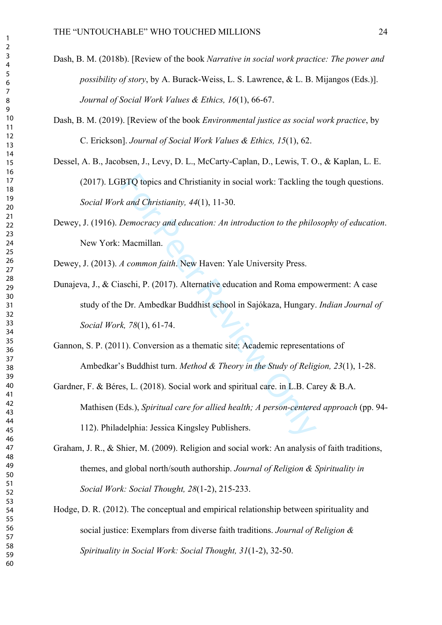- Dash, B. M. (2018b). [Review of the book *Narrative in social work practice: The power and possibility of story*, by A. Burack-Weiss, L. S. Lawrence, & L. B. Mijangos (Eds.)]. *Journal of Social Work Values & Ethics, 16*(1), 66-67.
- Dash, B. M. (2019). [Review of the book *Environmental justice as social work practice*, by C. Erickson]. *Journal of Social Work Values & Ethics, 15*(1), 62.
- Dessel, A. B., Jacobsen, J., Levy, D. L., McCarty-Caplan, D., Lewis, T. O., & Kaplan, L. E. (2017). LGBTQ topics and Christianity in social work: Tackling the tough questions. *Social Work and Christianity, 44*(1), 11-30.
- Dewey, J. (1916). *Democracy and education: An introduction to the philosophy of education*. New York: Macmillan.

Dewey, J. (2013). *A common faith*. New Haven: Yale University Press.

- BTQ topics and Christianity in social work: Tackling the *k and Christianity, 44*(1), 11-30.<br>
Democracy and education: An introduction to the philo<br>
Macmillan.<br>
A common faith. New Haven: Yale University Press.<br>
aschi, P. Dunajeva, J., & Ciaschi, P. (2017). Alternative education and Roma empowerment: A case study of the Dr. Ambedkar Buddhist school in Sajókaza, Hungary. *Indian Journal of Social Work, 78*(1), 61-74.
- Gannon, S. P. (2011). Conversion as a thematic site: Academic representations of Ambedkar's Buddhist turn. *Method & Theory in the Study of Religion, 23*(1), 1-28.
- Gardner, F. & Béres, L. (2018). Social work and spiritual care. in L.B. Carey & B.A. Mathisen (Eds.), *Spiritual care for allied health; A person-centered approach* (pp. 94-112). Philadelphia: Jessica Kingsley Publishers.
- Graham, J. R., & Shier, M. (2009). Religion and social work: An analysis of faith traditions, themes, and global north/south authorship. *Journal of Religion & Spirituality in Social Work: Social Thought, 28*(1-2), 215-233.
- Hodge, D. R. (2012). The conceptual and empirical relationship between spirituality and social justice: Exemplars from diverse faith traditions. *Journal of Religion & Spirituality in Social Work: Social Thought, 31*(1-2), 32-50.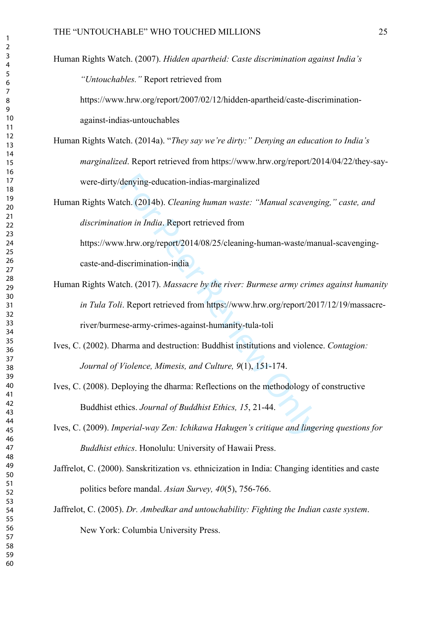Human Rights Watch. (2007). *Hidden apartheid: Caste discrimination against India's "Untouchables."* Report retrieved from

https://www.hrw.org/report/2007/02/12/hidden-apartheid/caste-discriminationagainst-indias-untouchables

- Human Rights Watch. (2014a). "*They say we're dirty:" Denying an education to India's marginalized*. Report retrieved from https://www.hrw.org/report/2014/04/22/they-saywere-dirty/denying-education-indias-marginalized
- Human Rights Watch. (2014b). *Cleaning human waste: "Manual scavenging," caste, and discrimination in India*. Report retrieved from https://www.hrw.org/report/2014/08/25/cleaning-human-waste/manual-scavenging-

caste-and-discrimination-india

- denying-education-indias-marginalized<br>tch. (2014b). *Cleaning human waste: "Manual scaveng*<br>*ion in India*. Report retrieved from<br>w.hrw.org/report/2014/08/25/cleaning-human-waste/ma<br>iscrimination-india<br>tch. (2017). *Massac* Human Rights Watch. (2017). *Massacre by the river: Burmese army crimes against humanity in Tula Toli*. Report retrieved from https://www.hrw.org/report/2017/12/19/massacreriver/burmese-army-crimes-against-humanity-tula-toli
- Ives, C. (2002). Dharma and destruction: Buddhist institutions and violence. *Contagion: Journal of Violence, Mimesis, and Culture, 9*(1), 151-174.
- Ives, C. (2008). Deploying the dharma: Reflections on the methodology of constructive Buddhist ethics. *Journal of Buddhist Ethics, 15*, 21-44.
- Ives, C. (2009). *Imperial-way Zen: Ichikawa Hakugen's critique and lingering questions for Buddhist ethics*. Honolulu: University of Hawaii Press.
- Jaffrelot, C. (2000). Sanskritization vs. ethnicization in India: Changing identities and caste politics before mandal. *Asian Survey, 40*(5), 756-766.
- Jaffrelot, C. (2005). *Dr. Ambedkar and untouchability: Fighting the Indian caste system*. New York: Columbia University Press.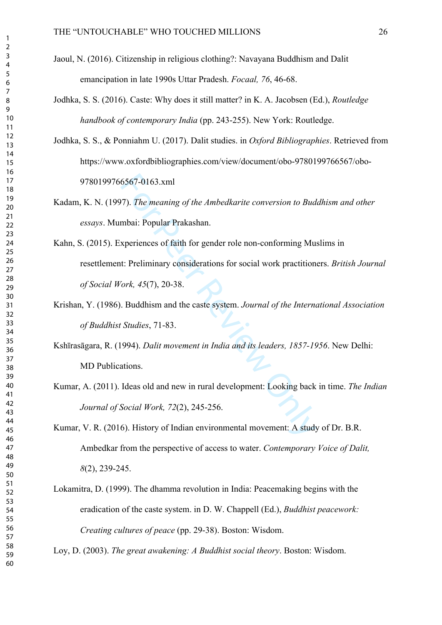- Jaoul, N. (2016). Citizenship in religious clothing?: Navayana Buddhism and Dalit emancipation in late 1990s Uttar Pradesh. *Focaal, 76*, 46-68.
- Jodhka, S. S. (2016). Caste: Why does it still matter? in K. A. Jacobsen (Ed.), *Routledge handbook of contemporary India* (pp. 243-255). New York: Routledge.
- Jodhka, S. S., & Ponniahm U. (2017). Dalit studies. in *Oxford Bibliographies*. Retrieved from https://www.oxfordbibliographies.com/view/document/obo-9780199766567/obo-9780199766567-0163.xml
- Kadam, K. N. (1997). *The meaning of the Ambedkarite conversion to Buddhism and other essays*. Mumbai: Popular Prakashan.
- 6567-0163.xml<br>
(7). The meaning of the Ambedkarite conversion to Bud<br>
mbai: Popular Prakashan.<br>
xperiences of faith for gender role non-conforming Mu<br>
t: Preliminary considerations for social work practition<br>
fork, 45(7), Kahn, S. (2015). Experiences of faith for gender role non-conforming Muslims in resettlement: Preliminary considerations for social work practitioners. *British Journal of Social Work, 45*(7), 20-38.
- Krishan, Y. (1986). Buddhism and the caste system. *Journal of the International Association of Buddhist Studies*, 71-83.
- Kshīrasāgara, R. (1994). *Dalit movement in India and its leaders, 1857-1956*. New Delhi: MD Publications.
- Kumar, A. (2011). Ideas old and new in rural development: Looking back in time. *The Indian Journal of Social Work, 72*(2), 245-256.
- Kumar, V. R. (2016). History of Indian environmental movement: A study of Dr. B.R. Ambedkar from the perspective of access to water. *Contemporary Voice of Dalit,*  (2), 239-245.
- Lokamitra, D. (1999). The dhamma revolution in India: Peacemaking begins with the eradication of the caste system. in D. W. Chappell (Ed.), *Buddhist peacework: Creating cultures of peace* (pp. 29-38). Boston: Wisdom.

Loy, D. (2003). *The great awakening: A Buddhist social theory*. Boston: Wisdom.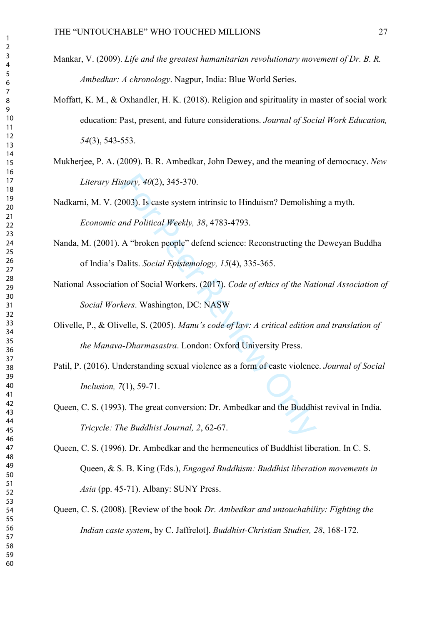- Mankar, V. (2009). *Life and the greatest humanitarian revolutionary movement of Dr. B. R. Ambedkar: A chronology*. Nagpur, India: Blue World Series.
- Moffatt, K. M., & Oxhandler, H. K. (2018). Religion and spirituality in master of social work education: Past, present, and future considerations. *Journal of Social Work Education,*  (3), 543-553.
- Mukherjee, P. A. (2009). B. R. Ambedkar, John Dewey, and the meaning of democracy. *New Literary History, 40*(2), 345-370.

Nadkarni, M. V. (2003). Is caste system intrinsic to Hinduism? Demolishing a myth. *Economic and Political Weekly, 38*, 4783-4793.

- Nanda, M. (2001). A "broken people" defend science: Reconstructing the Deweyan Buddha of India's Dalits. *Social Epistemology, 15*(4), 335-365.
- story, 40(2), 345-370.<br>
1003). Is caste system intrinsic to Hinduism? Demolishinand Political Weekly, 38, 4783-4793.<br>
A "broken people" defend science: Reconstructing the Dalits. Social Epistemology, 15(4), 335-365.<br>
on of National Association of Social Workers. (2017). *Code of ethics of the National Association of Social Workers*. Washington, DC: NASW

Olivelle, P., & Olivelle, S. (2005). *Manu's code of law: A critical edition and translation of the Manava-Dharmasastra*. London: Oxford University Press.

Patil, P. (2016). Understanding sexual violence as a form of caste violence. *Journal of Social Inclusion, 7*(1), 59-71.

Queen, C. S. (1993). The great conversion: Dr. Ambedkar and the Buddhist revival in India. *Tricycle: The Buddhist Journal, 2*, 62-67.

Queen, C. S. (1996). Dr. Ambedkar and the hermeneutics of Buddhist liberation. In C. S. Queen, & S. B. King (Eds.), *Engaged Buddhism: Buddhist liberation movements in Asia* (pp. 45-71). Albany: SUNY Press.

Queen, C. S. (2008). [Review of the book *Dr. Ambedkar and untouchability: Fighting the Indian caste system*, by C. Jaffrelot]. *Buddhist-Christian Studies, 28*, 168-172.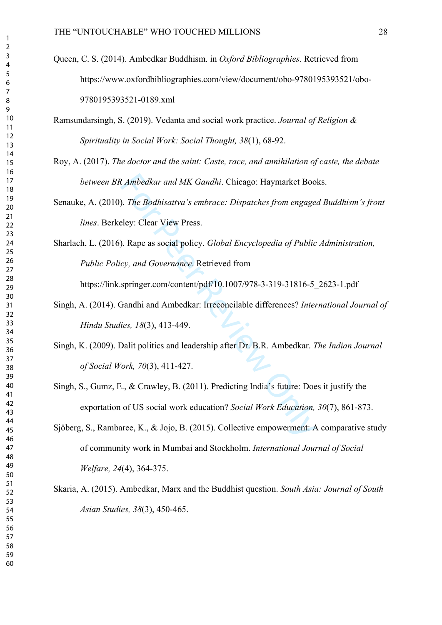Queen, C. S. (2014). Ambedkar Buddhism. in *Oxford Bibliographies*. Retrieved from https://www.oxfordbibliographies.com/view/document/obo-9780195393521/obo-9780195393521-0189.xml

Ramsundarsingh, S. (2019). Vedanta and social work practice. *Journal of Religion & Spirituality in Social Work: Social Thought, 38*(1), 68-92.

- Roy, A. (2017). *The doctor and the saint: Caste, race, and annihilation of caste, the debate between BR Ambedkar and MK Gandhi*. Chicago: Haymarket Books.
- Senauke, A. (2010). *The Bodhisattva's embrace: Dispatches from engaged Buddhism's front lines*. Berkeley: Clear View Press.
- Rambedkar and MK Gandhi. Chicago: Haymarket Boo<br>
1. The Bodhisattva's embrace: Dispatches from engage<br>
eley: Clear View Press.<br>
2. Rape as social policy. *Global Encyclopedia of Public*<br>
2. Clear View Press.<br>
2. Rape as so Sharlach, L. (2016). Rape as social policy. *Global Encyclopedia of Public Administration, Public Policy, and Governance*. Retrieved from

https://link.springer.com/content/pdf/10.1007/978-3-319-31816-5\_2623-1.pdf

- Singh, A. (2014). Gandhi and Ambedkar: Irreconcilable differences? *International Journal of Hindu Studies, 18*(3), 413-449.
- Singh, K. (2009). Dalit politics and leadership after Dr. B.R. Ambedkar. *The Indian Journal of Social Work, 70*(3), 411-427.
- Singh, S., Gumz, E., & Crawley, B. (2011). Predicting India's future: Does it justify the exportation of US social work education? *Social Work Education, 30*(7), 861-873.
- Sjöberg, S., Rambaree, K., & Jojo, B. (2015). Collective empowerment: A comparative study of community work in Mumbai and Stockholm. *International Journal of Social Welfare, 24*(4), 364-375.
- Skaria, A. (2015). Ambedkar, Marx and the Buddhist question. *South Asia: Journal of South Asian Studies, 38*(3), 450-465.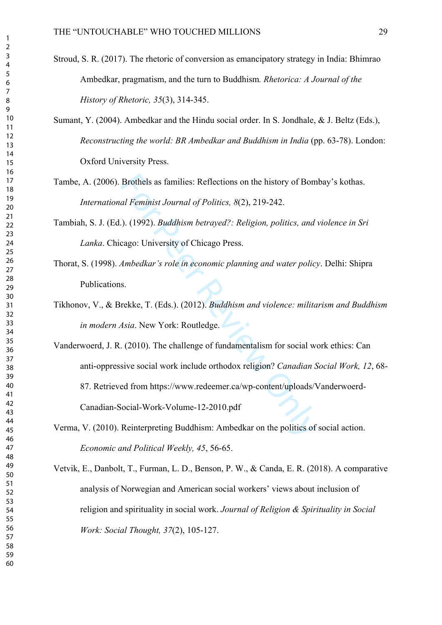- Stroud, S. R. (2017). The rhetoric of conversion as emancipatory strategy in India: Bhimrao Ambedkar, pragmatism, and the turn to Buddhism*. Rhetorica: A Journal of the History of Rhetoric, 35*(3), 314-345.
- Sumant, Y. (2004). Ambedkar and the Hindu social order. In S. Jondhale, & J. Beltz (Eds.), *Reconstructing the world: BR Ambedkar and Buddhism in India* (pp. 63-78). London: Oxford University Press.
- Tambe, A. (2006). Brothels as families: Reflections on the history of Bombay's kothas. *International Feminist Journal of Politics, 8*(2), 219-242.
- Tambiah, S. J. (Ed.). (1992). *Buddhism betrayed?: Religion, politics, and violence in Sri Lanka*. Chicago: University of Chicago Press.
- Thorat, S. (1998). *Ambedkar's role in economic planning and water policy*. Delhi: Shipra Publications.
- Tikhonov, V., & Brekke, T. (Eds.). (2012). *Buddhism and violence: militarism and Buddhism in modern Asia*. New York: Routledge.
- Brothels as families: Reflections on the history of Bonal Feminist Journal of Politics, 8(2), 219-242.<br>
1.). (1992). *Buddhism betrayed?*: *Religion, politics, and* cago: University of Chicago Press.<br>
Ambedkar's role in ec Vanderwoerd, J. R. (2010). The challenge of fundamentalism for social work ethics: Can anti-oppressive social work include orthodox religion? *Canadian Social Work, 12*, 68- 87. Retrieved from https://www.redeemer.ca/wp-content/uploads/Vanderwoerd-Canadian-Social-Work-Volume-12-2010.pdf
- Verma, V. (2010). Reinterpreting Buddhism: Ambedkar on the politics of social action. *Economic and Political Weekly, 45*, 56-65.
- Vetvik, E., Danbolt, T., Furman, L. D., Benson, P. W., & Canda, E. R. (2018). A comparative analysis of Norwegian and American social workers' views about inclusion of religion and spirituality in social work. *Journal of Religion & Spirituality in Social Work: Social Thought, 37*(2), 105-127.